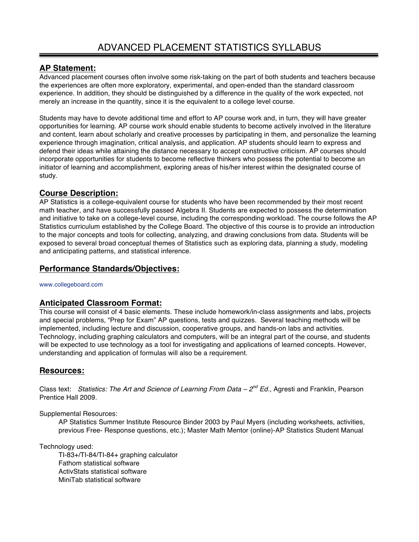# **AP Statement:**

Advanced placement courses often involve some risk-taking on the part of both students and teachers because the experiences are often more exploratory, experimental, and open-ended than the standard classroom experience. In addition, they should be distinguished by a difference in the quality of the work expected, not merely an increase in the quantity, since it is the equivalent to a college level course.

Students may have to devote additional time and effort to AP course work and, in turn, they will have greater opportunities for learning. AP course work should enable students to become actively involved in the literature and content, learn about scholarly and creative processes by participating in them, and personalize the learning experience through imagination, critical analysis, and application. AP students should learn to express and defend their ideas while attaining the distance necessary to accept constructive criticism. AP courses should incorporate opportunities for students to become reflective thinkers who possess the potential to become an initiator of learning and accomplishment, exploring areas of his/her interest within the designated course of study.

# **Course Description:**

AP Statistics is a college-equivalent course for students who have been recommended by their most recent math teacher, and have successfully passed Algebra II. Students are expected to possess the determination and initiative to take on a college-level course, including the corresponding workload. The course follows the AP Statistics curriculum established by the College Board. The objective of this course is to provide an introduction to the major concepts and tools for collecting, analyzing, and drawing conclusions from data. Students will be exposed to several broad conceptual themes of Statistics such as exploring data, planning a study, modeling and anticipating patterns, and statistical inference.

# **Performance Standards/Objectives:**

www.collegeboard.com

# **Anticipated Classroom Format:**

This course will consist of 4 basic elements. These include homework/in-class assignments and labs, projects and special problems, "Prep for Exam" AP questions, tests and quizzes. Several teaching methods will be implemented, including lecture and discussion, cooperative groups, and hands-on labs and activities. Technology, including graphing calculators and computers, will be an integral part of the course, and students will be expected to use technology as a tool for investigating and applications of learned concepts. However, understanding and application of formulas will also be a requirement.

# **Resources:**

Class text: *Statistics: The Art and Science of Learning From Data – 2nd Ed.,* Agresti and Franklin, Pearson Prentice Hall 2009.

Supplemental Resources:

AP Statistics Summer Institute Resource Binder 2003 by Paul Myers (including worksheets, activities, previous Free- Response questions, etc.); Master Math Mentor (online)-AP Statistics Student Manual

Technology used:

TI-83+/TI-84/TI-84+ graphing calculator Fathom statistical software ActivStats statistical software MiniTab statistical software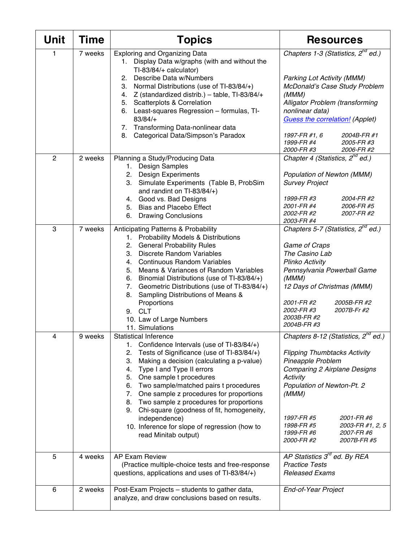| <b>Unit</b>    | <b>Time</b> | <b>Topics</b>                                                                                                                                                                                                                                                                                                                                                                                                                                                                                                                                 | <b>Resources</b>                                                                                                                                                                                                                                                                                                      |
|----------------|-------------|-----------------------------------------------------------------------------------------------------------------------------------------------------------------------------------------------------------------------------------------------------------------------------------------------------------------------------------------------------------------------------------------------------------------------------------------------------------------------------------------------------------------------------------------------|-----------------------------------------------------------------------------------------------------------------------------------------------------------------------------------------------------------------------------------------------------------------------------------------------------------------------|
| 1              | 7 weeks     | <b>Exploring and Organizing Data</b><br>Display Data w/graphs (with and without the<br>1.<br>TI-83/84/+ calculator)<br>Describe Data w/Numbers<br>2.<br>Normal Distributions (use of TI-83/84/+)<br>3.<br>4. Z (standardized distrib.) - table, TI-83/84/+<br><b>Scatterplots &amp; Correlation</b><br>5.<br>Least-squares Regression - formulas, TI-<br>6.<br>83/84/+<br>7. Transforming Data-nonlinear data<br>Categorical Data/Simpson's Paradox<br>8.                                                                                     | Chapters 1-3 (Statistics, 2 <sup>nd</sup> ed.)<br><b>Parking Lot Activity (MMM)</b><br>McDonald's Case Study Problem<br>(MMM)<br>Alligator Problem (transforming<br>nonlinear data)<br><b>Guess the correlation!</b> (Applet)<br>1997-FR #1, 6<br>2004B-FR #1<br>1999-FR #4<br>2005-FR #3<br>2000-FR #3<br>2006-FR #2 |
| $\overline{2}$ | 2 weeks     | Planning a Study/Producing Data<br>1. Design Samples<br><b>Design Experiments</b><br>2.<br>3.<br>Simulate Experiments (Table B, ProbSim<br>and randint on TI-83/84/+)<br>Good vs. Bad Designs<br>4.<br><b>Bias and Placebo Effect</b><br>5.<br>6.<br><b>Drawing Conclusions</b>                                                                                                                                                                                                                                                               | Chapter 4 (Statistics, $2^{nd}$ ed.)<br>Population of Newton (MMM)<br><b>Survey Project</b><br>1999-FR #3<br>2004-FR #2<br>2001-FR #4<br>2006-FR #5<br>2007-FR #2<br><i>2002-FR #2</i><br>2003-FR #4                                                                                                                  |
| 3              | 7 weeks     | <b>Anticipating Patterns &amp; Probability</b><br>1. Probability Models & Distributions<br><b>General Probability Rules</b><br>2.<br><b>Discrete Random Variables</b><br>3.<br><b>Continuous Random Variables</b><br>4.<br>Means & Variances of Random Variables<br>5.<br>Binomial Distributions (use of TI-83/84/+)<br>6.<br>Geometric Distributions (use of TI-83/84/+)<br>7.<br>Sampling Distributions of Means &<br>8.<br>Proportions<br><b>CLT</b><br>9.<br>10. Law of Large Numbers<br>11. Simulations                                  | Chapters 5-7 (Statistics, 2 <sup>nd</sup> ed.)<br>Game of Craps<br>The Casino Lab<br>Plinko Activity<br>Pennsylvania Powerball Game<br>(MMM)<br>12 Days of Christmas (MMM)<br>2001-FR #2<br>2005B-FR #2<br>2002-FR #3<br>2007B-Fr #2<br>2003B-FR #2<br>2004B-FR #3                                                    |
| 4              | 9 weeks     | <b>Statistical Inference</b><br>1. Confidence Intervals (use of TI-83/84/+)<br>Tests of Significance (use of TI-83/84/+)<br>2.<br>Making a decision (calculating a p-value)<br>3.<br>Type I and Type II errors<br>4.<br>One sample t procedures<br>5.<br>6. Two sample/matched pairs t procedures<br>One sample z procedures for proportions<br>7.<br>8. Two sample z procedures for proportions<br>Chi-square (goodness of fit, homogeneity,<br>9.<br>independence)<br>10. Inference for slope of regression (how to<br>read Minitab output) | Chapters 8-12 (Statistics, $2^{nd}$ ed.)<br><b>Flipping Thumbtacks Activity</b><br>Pineapple Problem<br><b>Comparing 2 Airplane Designs</b><br>Activity<br>Population of Newton-Pt. 2<br>(MMM)<br>1997-FR #5<br>2001-FR #6<br>1998-FR #5<br>2003-FR #1, 2, 5<br>1999-FR #6<br>2007-FR #6<br>2000-FR #2<br>2007B-FR #5 |
| 5              | 4 weeks     | <b>AP Exam Review</b><br>(Practice multiple-choice tests and free-response<br>questions, applications and uses of TI-83/84/+)                                                                                                                                                                                                                                                                                                                                                                                                                 | AP Statistics $3^{rd}$ ed. By REA<br><b>Practice Tests</b><br><b>Released Exams</b>                                                                                                                                                                                                                                   |
| 6              | 2 weeks     | Post-Exam Projects - students to gather data,<br>analyze, and draw conclusions based on results.                                                                                                                                                                                                                                                                                                                                                                                                                                              | End-of-Year Project                                                                                                                                                                                                                                                                                                   |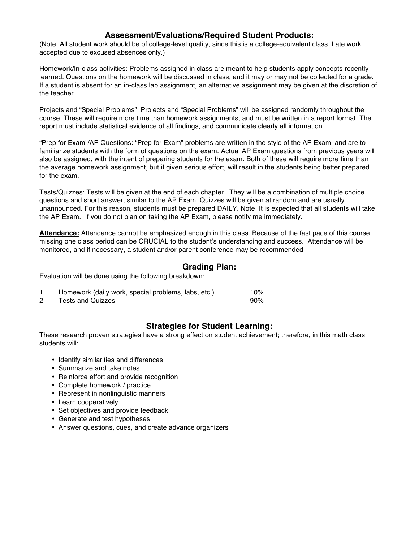## **Assessment/Evaluations/Required Student Products:**

(Note: All student work should be of college-level quality, since this is a college-equivalent class. Late work accepted due to excused absences only.)

Homework/In-class activities: Problems assigned in class are meant to help students apply concepts recently learned. Questions on the homework will be discussed in class, and it may or may not be collected for a grade. If a student is absent for an in-class lab assignment, an alternative assignment may be given at the discretion of the teacher.

Projects and "Special Problems": Projects and "Special Problems" will be assigned randomly throughout the course. These will require more time than homework assignments, and must be written in a report format. The report must include statistical evidence of all findings, and communicate clearly all information.

"Prep for Exam"/AP Questions: "Prep for Exam" problems are written in the style of the AP Exam, and are to familiarize students with the form of questions on the exam. Actual AP Exam questions from previous years will also be assigned, with the intent of preparing students for the exam. Both of these will require more time than the average homework assignment, but if given serious effort, will result in the students being better prepared for the exam.

Tests/Quizzes: Tests will be given at the end of each chapter. They will be a combination of multiple choice questions and short answer, similar to the AP Exam. Quizzes will be given at random and are usually unannounced. For this reason, students must be prepared DAILY. Note: It is expected that all students will take the AP Exam. If you do not plan on taking the AP Exam, please notify me immediately.

**Attendance:** Attendance cannot be emphasized enough in this class. Because of the fast pace of this course, missing one class period can be CRUCIAL to the student's understanding and success. Attendance will be monitored, and if necessary, a student and/or parent conference may be recommended.

### **Grading Plan:**

Evaluation will be done using the following breakdown:

| Homework (daily work, special problems, labs, etc.) | 10%    |
|-----------------------------------------------------|--------|
| Tests and Quizzes                                   | $90\%$ |

### **Strategies for Student Learning:**

These research proven strategies have a strong effect on student achievement; therefore, in this math class, students will:

- Identify similarities and differences
- Summarize and take notes
- Reinforce effort and provide recognition
- Complete homework / practice
- Represent in nonlinguistic manners
- Learn cooperatively
- Set objectives and provide feedback
- Generate and test hypotheses
- Answer questions, cues, and create advance organizers